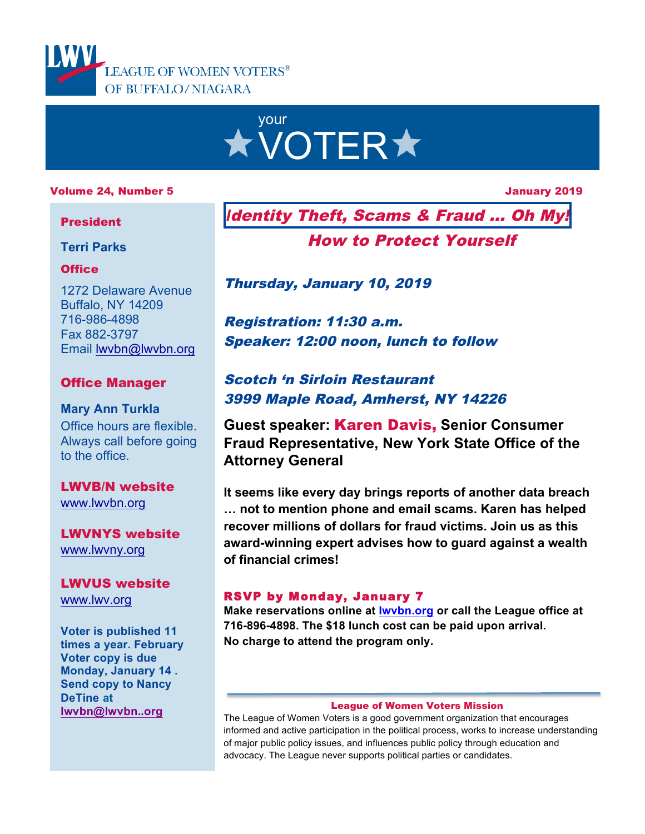



### Volume 24, Number 5 January 2019

### President

**Terri Parks**

### **Office**

1272 Delaware Avenue Buffalo, NY 14209 716-986-4898 Fax 882-3797 Email lwvbn@lwvbn.org

### Office Manager

### **Mary Ann Turkla** Office hours are flexible. Always call before going to the office.

LWVB/N website www.lwvbn.org

LWVNYS website www.lwvny.org

LWVUS website www.lwv.org

**Voter is published 11 times a year. February Voter copy is due Monday, January 14 . Send copy to Nancy DeTine at lwvbn@lwvbn..org**

*I*dentity Theft, Scams & Fraud … Oh My!

How to Protect Yourself

Thursday, January 10, 2019

Registration: 11:30 a.m. Speaker: 12:00 noon, lunch to follow

# Scotch 'n Sirloin Restaurant 3999 Maple Road, Amherst, NY 14226

**Guest speaker:** Karen Davis, **Senior Consumer Fraud Representative, New York State Office of the Attorney General**

**It seems like every day brings reports of another data breach … not to mention phone and email scams. Karen has helped recover millions of dollars for fraud victims. Join us as this award-winning expert advises how to guard against a wealth of financial crimes!**

### RSVP by Monday, January 7

**Make reservations online at lwvbn.org or call the League office at 716-896-4898. The \$18 lunch cost can be paid upon arrival. No charge to attend the program only.**

#### League of Women Voters Mission

The League of Women Voters is a good government organization that encourages informed and active participation in the political process, works to increase understanding of major public policy issues, and influences public policy through education and advocacy. The League never supports political parties or candidates.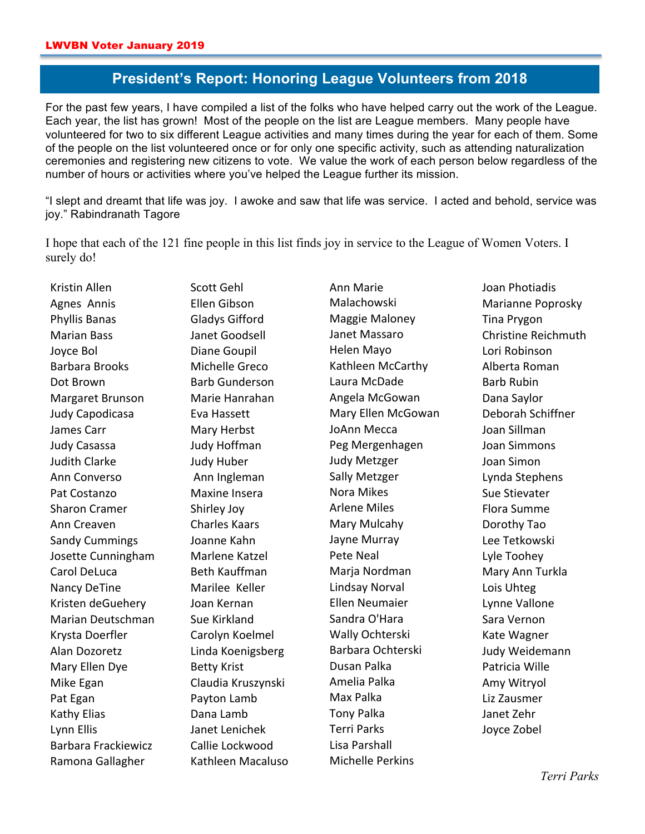# **President's Report: Honoring League Volunteers from 2018**

For the past few years, I have compiled a list of the folks who have helped carry out the work of the League. Each year, the list has grown! Most of the people on the list are League members. Many people have volunteered for two to six different League activities and many times during the year for each of them. Some of the people on the list volunteered once or for only one specific activity, such as attending naturalization ceremonies and registering new citizens to vote. We value the work of each person below regardless of the number of hours or activities where you've helped the League further its mission.

"I slept and dreamt that life was joy. I awoke and saw that life was service. I acted and behold, service was joy." Rabindranath Tagore

I hope that each of the 121 fine people in this list finds joy in service to the League of Women Voters. I surely do!

Kristin Allen Agnes Annis Phyllis Banas Marian Bass Joyce Bol Barbara Brooks Dot Brown Margaret Brunson Judy Capodicasa James Carr Judy Casassa Judith Clarke Ann Converso Pat Costanzo Sharon Cramer Ann Creaven Sandy Cummings Josette Cunningham Carol DeLuca Nancy DeTine Kristen deGuehery Marian Deutschman Krysta Doerfler Alan Dozoretz Mary Ellen Dye Mike Egan Pat Egan Kathy Elias Lynn Ellis Barbara Frackiewicz Ramona Gallagher

Ellen Gibson Gladys Gifford Janet Goodsell Diane Goupil Michelle Greco Barb Gunderson Marie Hanrahan Eva Hassett Mary Herbst Judy Hoffman Judy Huber Ann Ingleman Maxine Insera Shirley Joy Charles Kaars Joanne Kahn Marlene Katzel Beth Kauffman Marilee Keller Joan Kernan Sue Kirkland Carolyn Koelmel Linda Koenigsberg **Betty Krist** Claudia Kruszynski Payton Lamb Dana Lamb Janet Lenichek Callie Lockwood Kathleen Macaluso

Scott Gehl

Ann Marie Malachowski Maggie Maloney Janet Massaro Helen Mayo Kathleen McCarthy Laura McDade Angela McGowan Mary Ellen McGowan JoAnn Mecca Peg Mergenhagen Judy Metzger Sally Metzger Nora Mikes Arlene Miles Mary Mulcahy Jayne Murray Pete Neal Marja Nordman Lindsay Norval Ellen Neumaier Sandra O'Hara Wally Ochterski Barbara Ochterski Dusan Palka Amelia Palka Max Palka Tony Palka Terri Parks Lisa Parshall Michelle Perkins

Joan Photiadis Marianne Poprosky Tina Prygon Christine Reichmuth Lori Robinson Alberta Roman Barb Rubin Dana Saylor Deborah Schiffner Joan Sillman Joan Simmons Joan Simon Lynda Stephens Sue Stievater Flora Summe Dorothy Tao Lee Tetkowski Lyle Toohey Mary Ann Turkla Lois Uhteg Lynne Vallone Sara Vernon Kate Wagner Judy Weidemann Patricia Wille Amy Witryol Liz Zausmer Janet Zehr Joyce Zobel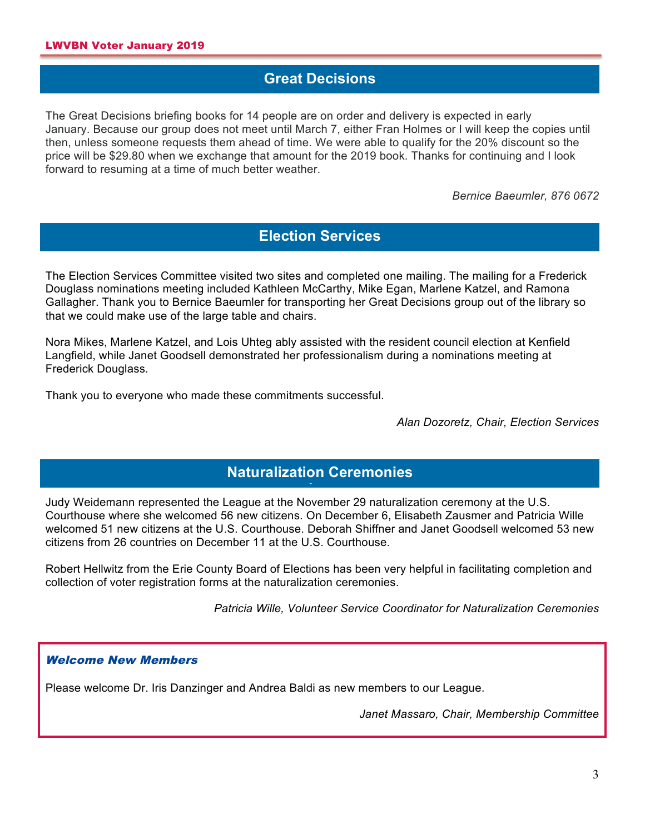### **Great Decisions**

The Great Decisions briefing books for 14 people are on order and delivery is expected in early January. Because our group does not meet until March 7, either Fran Holmes or I will keep the copies until then, unless someone requests them ahead of time. We were able to qualify for the 20% discount so the price will be \$29.80 when we exchange that amount for the 2019 book. Thanks for continuing and I look forward to resuming at a time of much better weather.

*Bernice Baeumler, 876 0672*

# **Election Services**

The Election Services Committee visited two sites and completed one mailing. The mailing for a Frederick Douglass nominations meeting included Kathleen McCarthy, Mike Egan, Marlene Katzel, and Ramona Gallagher. Thank you to Bernice Baeumler for transporting her Great Decisions group out of the library so that we could make use of the large table and chairs.

Nora Mikes, Marlene Katzel, and Lois Uhteg ably assisted with the resident council election at Kenfield Langfield, while Janet Goodsell demonstrated her professionalism during a nominations meeting at Frederick Douglass.

Thank you to everyone who made these commitments successful.

*Alan Dozoretz, Chair, Election Services*

# **Naturalization Ceremonies sions**

Judy Weidemann represented the League at the November 29 naturalization ceremony at the U.S. Courthouse where she welcomed 56 new citizens. On December 6, Elisabeth Zausmer and Patricia Wille welcomed 51 new citizens at the U.S. Courthouse. Deborah Shiffner and Janet Goodsell welcomed 53 new citizens from 26 countries on December 11 at the U.S. Courthouse.

Robert Hellwitz from the Erie County Board of Elections has been very helpful in facilitating completion and collection of voter registration forms at the naturalization ceremonies.

*Patricia Wille, Volunteer Service Coordinator for Naturalization Ceremonies*

### Welcome New Members

Please welcome Dr. Iris Danzinger and Andrea Baldi as new members to our League.

*Janet Massaro, Chair, Membership Committee*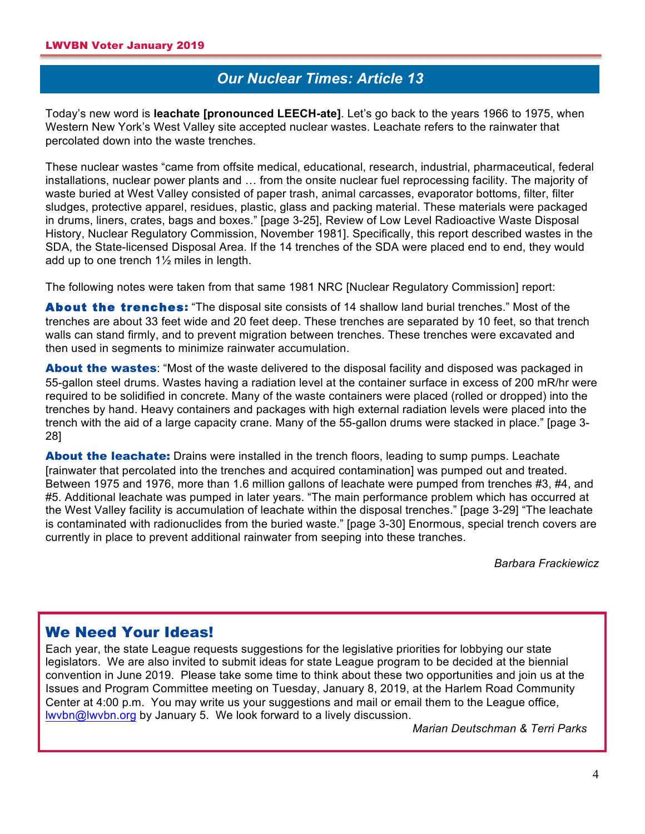# *Our Nuclear Times: Article 13* **sions**

Today's new word is **leachate [pronounced LEECH-ate]**. Let's go back to the years 1966 to 1975, when Western New York's West Valley site accepted nuclear wastes. Leachate refers to the rainwater that percolated down into the waste trenches.

These nuclear wastes "came from offsite medical, educational, research, industrial, pharmaceutical, federal installations, nuclear power plants and … from the onsite nuclear fuel reprocessing facility. The majority of waste buried at West Valley consisted of paper trash, animal carcasses, evaporator bottoms, filter, filter sludges, protective apparel, residues, plastic, glass and packing material. These materials were packaged in drums, liners, crates, bags and boxes." [page 3-25], Review of Low Level Radioactive Waste Disposal History, Nuclear Regulatory Commission, November 1981]. Specifically, this report described wastes in the SDA, the State-licensed Disposal Area. If the 14 trenches of the SDA were placed end to end, they would add up to one trench 1½ miles in length.

The following notes were taken from that same 1981 NRC [Nuclear Regulatory Commission] report:

About the trenches: "The disposal site consists of 14 shallow land burial trenches." Most of the trenches are about 33 feet wide and 20 feet deep. These trenches are separated by 10 feet, so that trench walls can stand firmly, and to prevent migration between trenches. These trenches were excavated and then used in segments to minimize rainwater accumulation.

**About the wastes:** "Most of the waste delivered to the disposal facility and disposed was packaged in 55-gallon steel drums. Wastes having a radiation level at the container surface in excess of 200 mR/hr were required to be solidified in concrete. Many of the waste containers were placed (rolled or dropped) into the trenches by hand. Heavy containers and packages with high external radiation levels were placed into the trench with the aid of a large capacity crane. Many of the 55-gallon drums were stacked in place." [page 3- 28]

**About the leachate:** Drains were installed in the trench floors, leading to sump pumps. Leachate [rainwater that percolated into the trenches and acquired contamination] was pumped out and treated. Between 1975 and 1976, more than 1.6 million gallons of leachate were pumped from trenches #3, #4, and #5. Additional leachate was pumped in later years. "The main performance problem which has occurred at the West Valley facility is accumulation of leachate within the disposal trenches." [page 3-29] "The leachate is contaminated with radionuclides from the buried waste." [page 3-30] Enormous, special trench covers are currently in place to prevent additional rainwater from seeping into these tranches.

*Barbara Frackiewicz*

## We Need Your Ideas!

Each year, the state League requests suggestions for the legislative priorities for lobbying our state legislators. We are also invited to submit ideas for state League program to be decided at the biennial convention in June 2019. Please take some time to think about these two opportunities and join us at the Issues and Program Committee meeting on Tuesday, January 8, 2019, at the Harlem Road Community Center at 4:00 p.m. You may write us your suggestions and mail or email them to the League office, lwvbn@lwvbn.org by January 5. We look forward to a lively discussion.

*Marian Deutschman & Terri Parks*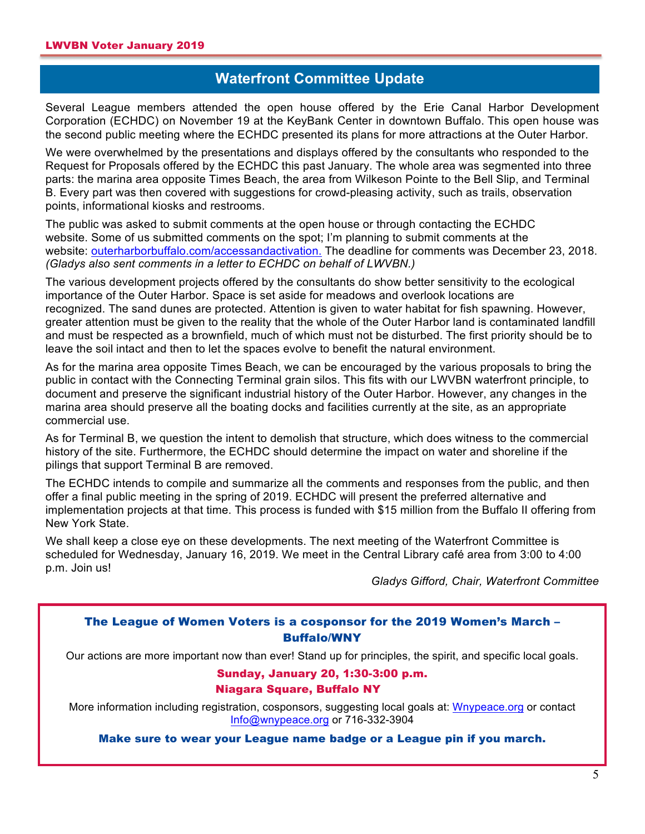## **Waterfront Committee Update**

Several League members attended the open house offered by the Erie Canal Harbor Development Corporation (ECHDC) on November 19 at the KeyBank Center in downtown Buffalo. This open house was the second public meeting where the ECHDC presented its plans for more attractions at the Outer Harbor.

We were overwhelmed by the presentations and displays offered by the consultants who responded to the Request for Proposals offered by the ECHDC this past January. The whole area was segmented into three parts: the marina area opposite Times Beach, the area from Wilkeson Pointe to the Bell Slip, and Terminal B. Every part was then covered with suggestions for crowd-pleasing activity, such as trails, observation points, informational kiosks and restrooms.

The public was asked to submit comments at the open house or through contacting the ECHDC website. Some of us submitted comments on the spot; I'm planning to submit comments at the website: outerharborbuffalo.com/accessandactivation. The deadline for comments was December 23, 2018. *(Gladys also sent comments in a letter to ECHDC on behalf of LWVBN.)*

The various development projects offered by the consultants do show better sensitivity to the ecological importance of the Outer Harbor. Space is set aside for meadows and overlook locations are recognized. The sand dunes are protected. Attention is given to water habitat for fish spawning. However, greater attention must be given to the reality that the whole of the Outer Harbor land is contaminated landfill and must be respected as a brownfield, much of which must not be disturbed. The first priority should be to leave the soil intact and then to let the spaces evolve to benefit the natural environment.

As for the marina area opposite Times Beach, we can be encouraged by the various proposals to bring the public in contact with the Connecting Terminal grain silos. This fits with our LWVBN waterfront principle, to document and preserve the significant industrial history of the Outer Harbor. However, any changes in the marina area should preserve all the boating docks and facilities currently at the site, as an appropriate commercial use.

As for Terminal B, we question the intent to demolish that structure, which does witness to the commercial history of the site. Furthermore, the ECHDC should determine the impact on water and shoreline if the pilings that support Terminal B are removed.

The ECHDC intends to compile and summarize all the comments and responses from the public, and then offer a final public meeting in the spring of 2019. ECHDC will present the preferred alternative and implementation projects at that time. This process is funded with \$15 million from the Buffalo II offering from New York State.

We shall keep a close eye on these developments. The next meeting of the Waterfront Committee is scheduled for Wednesday, January 16, 2019. We meet in the Central Library café area from 3:00 to 4:00 p.m. Join us!

*Gladys Gifford, Chair, Waterfront Committee*

### The League of Women Voters is a cosponsor for the 2019 Women's March – Buffalo/WNY

Our actions are more important now than ever! Stand up for principles, the spirit, and specific local goals.

### Sunday, January 20, 1:30-3:00 p.m.

#### Niagara Square, Buffalo NY

More information including registration, cosponsors, suggesting local goals at: Wnypeace.org or contact Info@wnypeace.org or 716-332-3904

Make sure to wear your League name badge or a League pin if you march.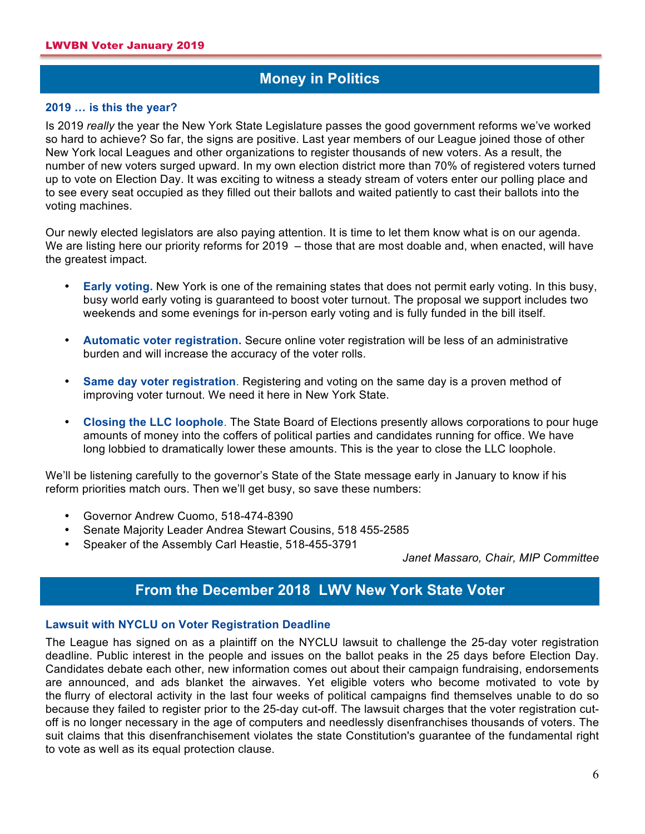## **Money in Politics**

#### **A 2019 … is this the year?**

Is 2019 *really* the year the New York State Legislature passes the good government reforms we've worked so hard to achieve? So far, the signs are positive. Last year members of our League joined those of other New York local Leagues and other organizations to register thousands of new voters. As a result, the number of new voters surged upward. In my own election district more than 70% of registered voters turned up to vote on Election Day. It was exciting to witness a steady stream of voters enter our polling place and to see every seat occupied as they filled out their ballots and waited patiently to cast their ballots into the voting machines.

Our newly elected legislators are also paying attention. It is time to let them know what is on our agenda. We are listing here our priority reforms for 2019 – those that are most doable and, when enacted, will have the greatest impact.

- **Early voting.** New York is one of the remaining states that does not permit early voting. In this busy, busy world early voting is guaranteed to boost voter turnout. The proposal we support includes two weekends and some evenings for in-person early voting and is fully funded in the bill itself.
- **Automatic voter registration.** Secure online voter registration will be less of an administrative burden and will increase the accuracy of the voter rolls.
- **Same day voter registration**. Registering and voting on the same day is a proven method of improving voter turnout. We need it here in New York State.
- **Closing the LLC loophole**. The State Board of Elections presently allows corporations to pour huge amounts of money into the coffers of political parties and candidates running for office. We have long lobbied to dramatically lower these amounts. This is the year to close the LLC loophole.

We'll be listening carefully to the governor's State of the State message early in January to know if his reform priorities match ours. Then we'll get busy, so save these numbers:

- Governor Andrew Cuomo, 518-474-8390
- Senate Majority Leader Andrea Stewart Cousins, 518 455-2585
- Speaker of the Assembly Carl Heastie, 518-455-3791

*Janet Massaro, Chair, MIP Committee*

## **From the December 2018 LWV New York State Voter litics**

#### **Lawsuit with NYCLU on Voter Registration Deadline**

The League has signed on as a plaintiff on the NYCLU lawsuit to challenge the 25-day voter registration deadline. Public interest in the people and issues on the ballot peaks in the 25 days before Election Day. Candidates debate each other, new information comes out about their campaign fundraising, endorsements are announced, and ads blanket the airwaves. Yet eligible voters who become motivated to vote by the flurry of electoral activity in the last four weeks of political campaigns find themselves unable to do so because they failed to register prior to the 25-day cut-off. The lawsuit charges that the voter registration cutoff is no longer necessary in the age of computers and needlessly disenfranchises thousands of voters. The suit claims that this disenfranchisement violates the state Constitution's guarantee of the fundamental right to vote as well as its equal protection clause.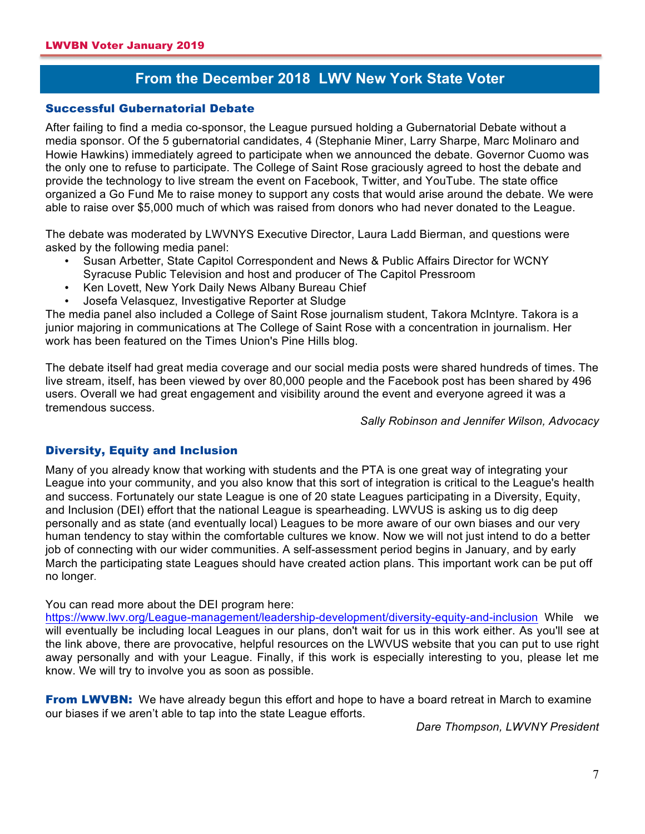# **From the December 2018 LWV New York State Voter litics**

#### Successful Gubernatorial Debate

After failing to find a media co-sponsor, the League pursued holding a Gubernatorial Debate without a media sponsor. Of the 5 gubernatorial candidates, 4 (Stephanie Miner, Larry Sharpe, Marc Molinaro and Howie Hawkins) immediately agreed to participate when we announced the debate. Governor Cuomo was the only one to refuse to participate. The College of Saint Rose graciously agreed to host the debate and provide the technology to live stream the event on Facebook, Twitter, and YouTube. The state office organized a Go Fund Me to raise money to support any costs that would arise around the debate. We were able to raise over \$5,000 much of which was raised from donors who had never donated to the League.

The debate was moderated by LWVNYS Executive Director, Laura Ladd Bierman, and questions were asked by the following media panel:

- Susan Arbetter, State Capitol Correspondent and News & Public Affairs Director for WCNY Syracuse Public Television and host and producer of The Capitol Pressroom
- Ken Lovett, New York Daily News Albany Bureau Chief
- Josefa Velasquez, Investigative Reporter at Sludge

The media panel also included a College of Saint Rose journalism student, Takora McIntyre. Takora is a junior majoring in communications at The College of Saint Rose with a concentration in journalism. Her work has been featured on the Times Union's Pine Hills blog.

The debate itself had great media coverage and our social media posts were shared hundreds of times. The live stream, itself, has been viewed by over 80,000 people and the Facebook post has been shared by 496 users. Overall we had great engagement and visibility around the event and everyone agreed it was a tremendous success.

*Sally Robinson and Jennifer Wilson, Advocacy*

### Diversity, Equity and Inclusion

Many of you already know that working with students and the PTA is one great way of integrating your League into your community, and you also know that this sort of integration is critical to the League's health and success. Fortunately our state League is one of 20 state Leagues participating in a Diversity, Equity, and Inclusion (DEI) effort that the national League is spearheading. LWVUS is asking us to dig deep personally and as state (and eventually local) Leagues to be more aware of our own biases and our very human tendency to stay within the comfortable cultures we know. Now we will not just intend to do a better job of connecting with our wider communities. A self-assessment period begins in January, and by early March the participating state Leagues should have created action plans. This important work can be put off no longer.

You can read more about the DEI program here:

https://www.lwv.org/League-management/leadership-development/diversity-equity-and-inclusion While we will eventually be including local Leagues in our plans, don't wait for us in this work either. As you'll see at the link above, there are provocative, helpful resources on the LWVUS website that you can put to use right away personally and with your League. Finally, if this work is especially interesting to you, please let me know. We will try to involve you as soon as possible.

**From LWVBN:** We have already begun this effort and hope to have a board retreat in March to examine our biases if we aren't able to tap into the state League efforts.

*Dare Thompson, LWVNY President*